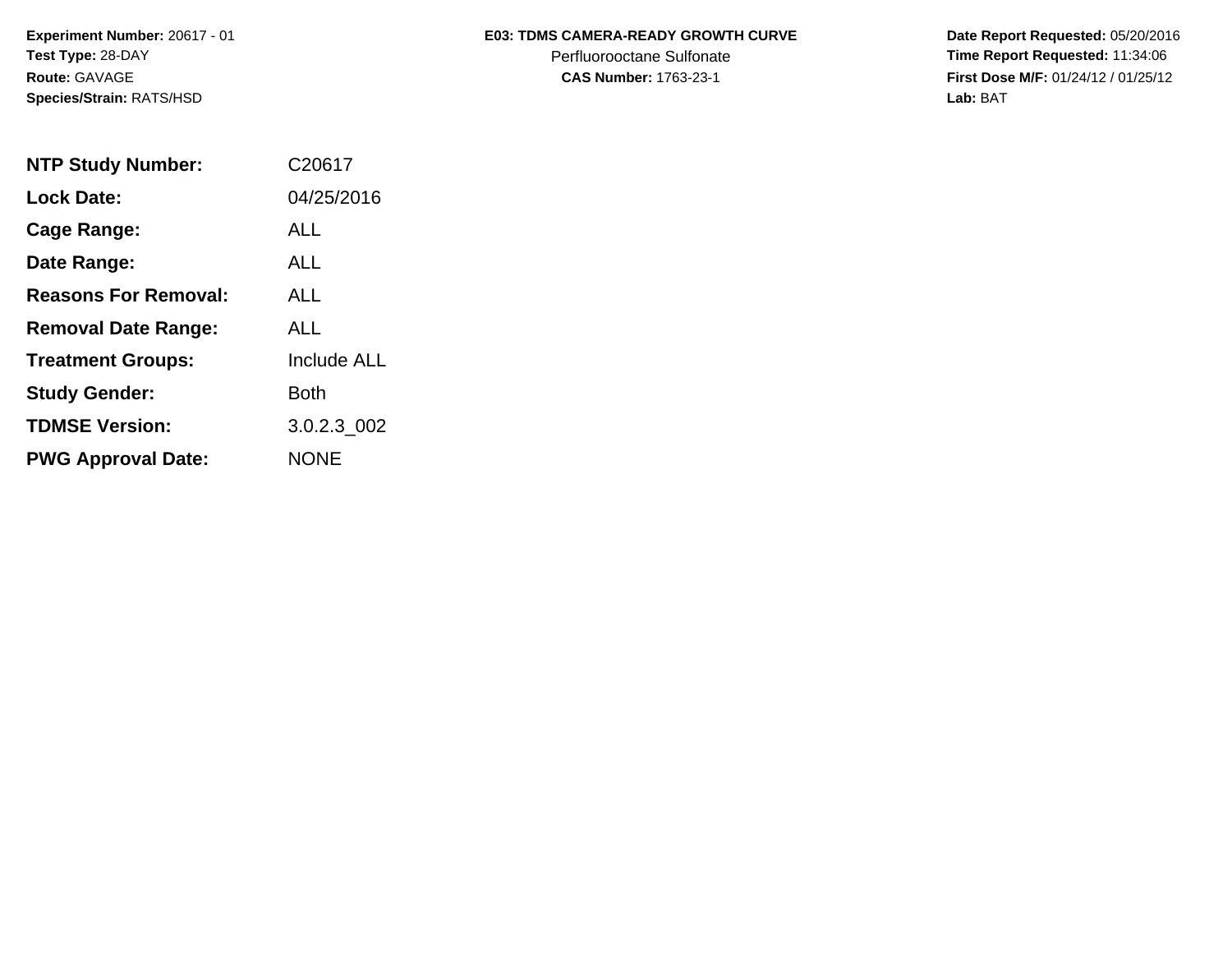**Species/Strain:** RATS/HSD **Lab:** BAT

## Experiment Number: 20617 - 01 **E03: TDMS CAMERA-READY GROWTH CURVE** Date Report Requested: 05/20/2016

**Test Type: 28-DAY Perfluorooctane Sulfonate Time Report Requested: 11:34:06 Route:** GAVAGE **CAS Number:** 1763-23-1 **First Dose M/F:** 01/24/12 / 01/25/12

| <b>NTP Study Number:</b>    | C20617             |
|-----------------------------|--------------------|
| <b>Lock Date:</b>           | 04/25/2016         |
| Cage Range:                 | ALL                |
| Date Range:                 | AI I               |
| <b>Reasons For Removal:</b> | <b>ALL</b>         |
| <b>Removal Date Range:</b>  | ALL                |
| <b>Treatment Groups:</b>    | <b>Include ALL</b> |
| <b>Study Gender:</b>        | <b>Both</b>        |
| <b>TDMSE Version:</b>       | 3.0.2.3 002        |
| <b>PWG Approval Date:</b>   | <b>NONE</b>        |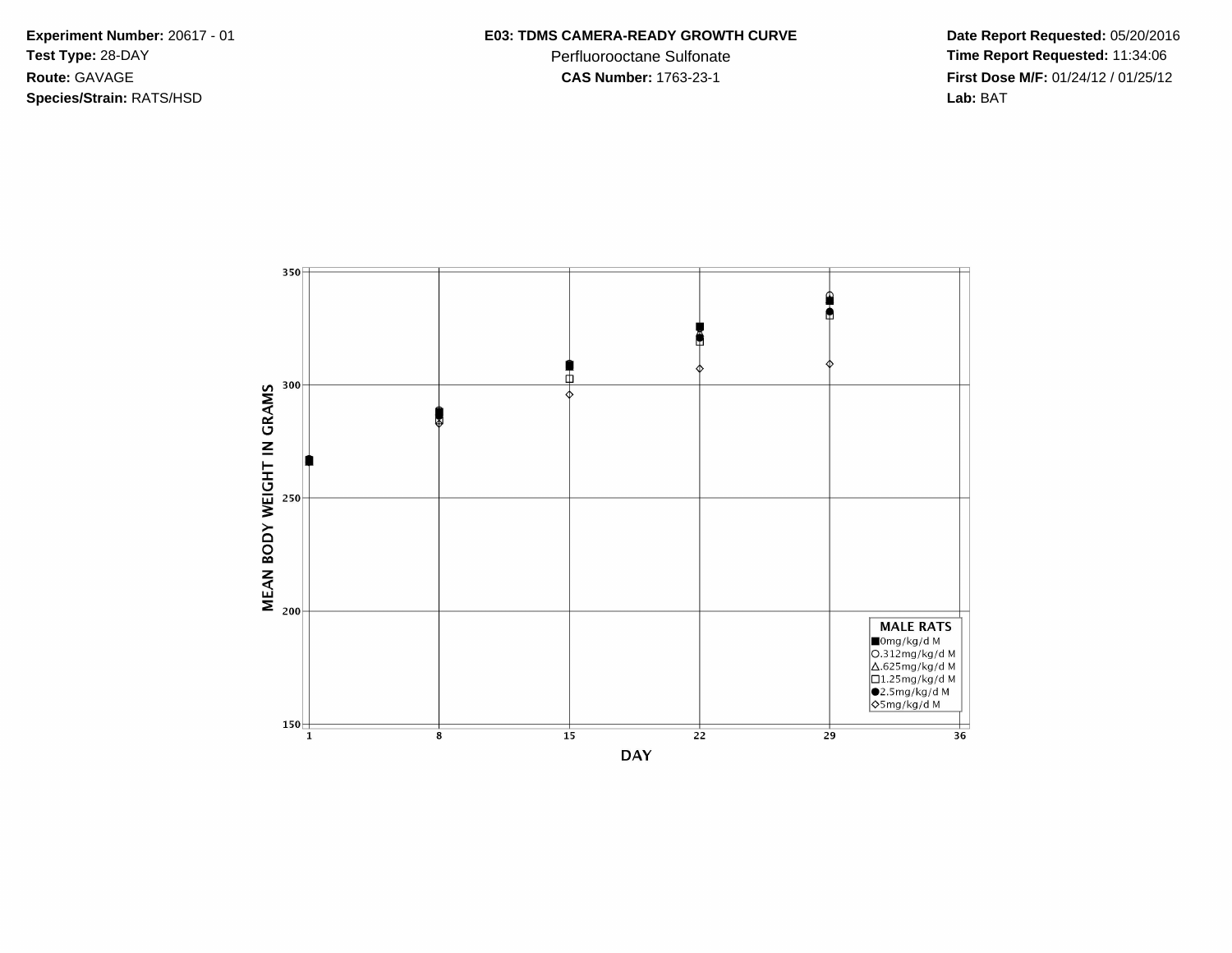**Species/Strain:** RATS/HSD **Lab:** BAT

**Test Type:** 28-DAY Perfluorooctane Sulfonate **Time Report Requested:** 11:34:06 **Route:** GAVAGE **CAS Number:** 1763-23-1 **First Dose M/F:** 01/24/12 / 01/25/12